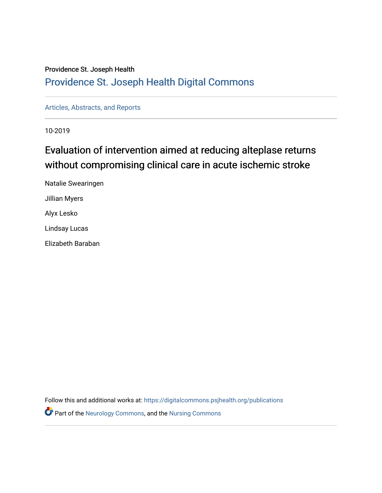### Providence St. Joseph Health

### [Providence St. Joseph Health Digital Commons](https://digitalcommons.psjhealth.org/)

[Articles, Abstracts, and Reports](https://digitalcommons.psjhealth.org/publications) 

10-2019

### Evaluation of intervention aimed at reducing alteplase returns without compromising clinical care in acute ischemic stroke

Natalie Swearingen Jillian Myers Alyx Lesko Lindsay Lucas Elizabeth Baraban

Follow this and additional works at: [https://digitalcommons.psjhealth.org/publications](https://digitalcommons.psjhealth.org/publications?utm_source=digitalcommons.psjhealth.org%2Fpublications%2F2417&utm_medium=PDF&utm_campaign=PDFCoverPages)

**P** Part of the [Neurology Commons](http://network.bepress.com/hgg/discipline/692?utm_source=digitalcommons.psjhealth.org%2Fpublications%2F2417&utm_medium=PDF&utm_campaign=PDFCoverPages), and the Nursing Commons